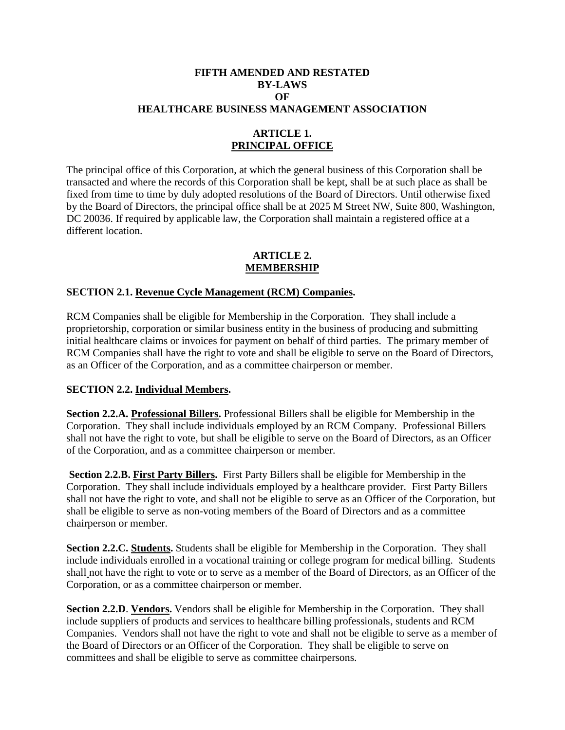#### **FIFTH AMENDED AND RESTATED BY-LAWS OF HEALTHCARE BUSINESS MANAGEMENT ASSOCIATION**

### **ARTICLE 1. PRINCIPAL OFFICE**

The principal office of this Corporation, at which the general business of this Corporation shall be transacted and where the records of this Corporation shall be kept, shall be at such place as shall be fixed from time to time by duly adopted resolutions of the Board of Directors. Until otherwise fixed by the Board of Directors, the principal office shall be at 2025 M Street NW, Suite 800, Washington, DC 20036. If required by applicable law, the Corporation shall maintain a registered office at a different location.

#### **ARTICLE 2. MEMBERSHIP**

#### **SECTION 2.1. Revenue Cycle Management (RCM) Companies.**

RCM Companies shall be eligible for Membership in the Corporation. They shall include a proprietorship, corporation or similar business entity in the business of producing and submitting initial healthcare claims or invoices for payment on behalf of third parties. The primary member of RCM Companies shall have the right to vote and shall be eligible to serve on the Board of Directors, as an Officer of the Corporation, and as a committee chairperson or member.

#### **SECTION 2.2. Individual Members.**

**Section 2.2.A. Professional Billers.** Professional Billers shall be eligible for Membership in the Corporation. They shall include individuals employed by an RCM Company. Professional Billers shall not have the right to vote, but shall be eligible to serve on the Board of Directors, as an Officer of the Corporation, and as a committee chairperson or member.

**Section 2.2.B. First Party Billers.** First Party Billers shall be eligible for Membership in the Corporation. They shall include individuals employed by a healthcare provider. First Party Billers shall not have the right to vote, and shall not be eligible to serve as an Officer of the Corporation, but shall be eligible to serve as non-voting members of the Board of Directors and as a committee chairperson or member.

**Section 2.2.C. Students.** Students shall be eligible for Membership in the Corporation. They shall include individuals enrolled in a vocational training or college program for medical billing. Students shall not have the right to vote or to serve as a member of the Board of Directors, as an Officer of the Corporation, or as a committee chairperson or member.

**Section 2.2.D**. **Vendors.** Vendors shall be eligible for Membership in the Corporation. They shall include suppliers of products and services to healthcare billing professionals, students and RCM Companies. Vendors shall not have the right to vote and shall not be eligible to serve as a member of the Board of Directors or an Officer of the Corporation. They shall be eligible to serve on committees and shall be eligible to serve as committee chairpersons.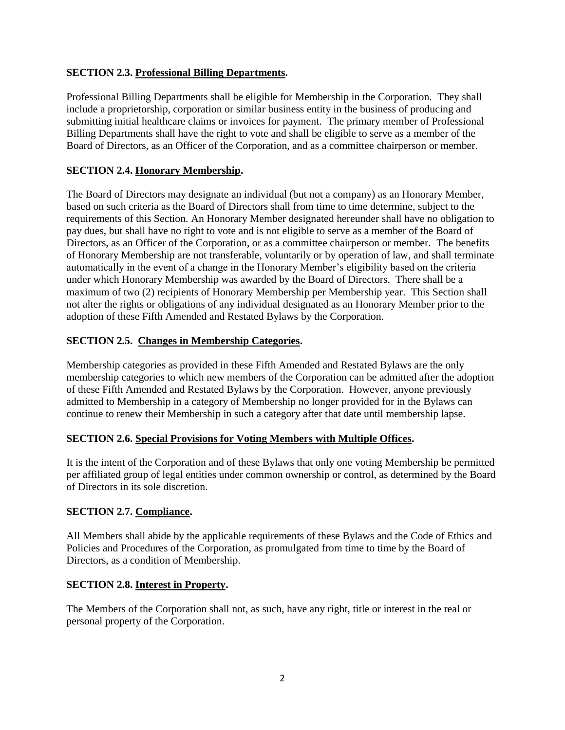## **SECTION 2.3. Professional Billing Departments.**

Professional Billing Departments shall be eligible for Membership in the Corporation. They shall include a proprietorship, corporation or similar business entity in the business of producing and submitting initial healthcare claims or invoices for payment. The primary member of Professional Billing Departments shall have the right to vote and shall be eligible to serve as a member of the Board of Directors, as an Officer of the Corporation, and as a committee chairperson or member.

### **SECTION 2.4. Honorary Membership.**

The Board of Directors may designate an individual (but not a company) as an Honorary Member, based on such criteria as the Board of Directors shall from time to time determine, subject to the requirements of this Section. An Honorary Member designated hereunder shall have no obligation to pay dues, but shall have no right to vote and is not eligible to serve as a member of the Board of Directors, as an Officer of the Corporation, or as a committee chairperson or member. The benefits of Honorary Membership are not transferable, voluntarily or by operation of law, and shall terminate automatically in the event of a change in the Honorary Member's eligibility based on the criteria under which Honorary Membership was awarded by the Board of Directors. There shall be a maximum of two (2) recipients of Honorary Membership per Membership year. This Section shall not alter the rights or obligations of any individual designated as an Honorary Member prior to the adoption of these Fifth Amended and Restated Bylaws by the Corporation.

### **SECTION 2.5. Changes in Membership Categories.**

Membership categories as provided in these Fifth Amended and Restated Bylaws are the only membership categories to which new members of the Corporation can be admitted after the adoption of these Fifth Amended and Restated Bylaws by the Corporation. However, anyone previously admitted to Membership in a category of Membership no longer provided for in the Bylaws can continue to renew their Membership in such a category after that date until membership lapse.

### **SECTION 2.6. Special Provisions for Voting Members with Multiple Offices.**

It is the intent of the Corporation and of these Bylaws that only one voting Membership be permitted per affiliated group of legal entities under common ownership or control, as determined by the Board of Directors in its sole discretion.

### **SECTION 2.7. Compliance.**

All Members shall abide by the applicable requirements of these Bylaws and the Code of Ethics and Policies and Procedures of the Corporation, as promulgated from time to time by the Board of Directors, as a condition of Membership.

### **SECTION 2.8. Interest in Property.**

The Members of the Corporation shall not, as such, have any right, title or interest in the real or personal property of the Corporation.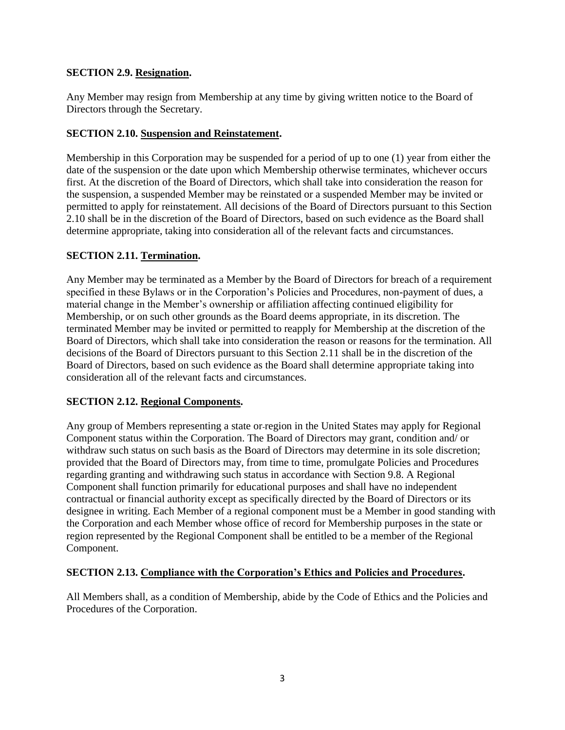## **SECTION 2.9. Resignation.**

Any Member may resign from Membership at any time by giving written notice to the Board of Directors through the Secretary.

### **SECTION 2.10. Suspension and Reinstatement.**

Membership in this Corporation may be suspended for a period of up to one (1) year from either the date of the suspension or the date upon which Membership otherwise terminates, whichever occurs first. At the discretion of the Board of Directors, which shall take into consideration the reason for the suspension, a suspended Member may be reinstated or a suspended Member may be invited or permitted to apply for reinstatement. All decisions of the Board of Directors pursuant to this Section 2.10 shall be in the discretion of the Board of Directors, based on such evidence as the Board shall determine appropriate, taking into consideration all of the relevant facts and circumstances.

### **SECTION 2.11. Termination.**

Any Member may be terminated as a Member by the Board of Directors for breach of a requirement specified in these Bylaws or in the Corporation's Policies and Procedures, non-payment of dues, a material change in the Member's ownership or affiliation affecting continued eligibility for Membership, or on such other grounds as the Board deems appropriate, in its discretion. The terminated Member may be invited or permitted to reapply for Membership at the discretion of the Board of Directors, which shall take into consideration the reason or reasons for the termination. All decisions of the Board of Directors pursuant to this Section 2.11 shall be in the discretion of the Board of Directors, based on such evidence as the Board shall determine appropriate taking into consideration all of the relevant facts and circumstances.

### **SECTION 2.12. Regional Components.**

Any group of Members representing a state or-region in the United States may apply for Regional Component status within the Corporation. The Board of Directors may grant, condition and/ or withdraw such status on such basis as the Board of Directors may determine in its sole discretion; provided that the Board of Directors may, from time to time, promulgate Policies and Procedures regarding granting and withdrawing such status in accordance with Section 9.8. A Regional Component shall function primarily for educational purposes and shall have no independent contractual or financial authority except as specifically directed by the Board of Directors or its designee in writing. Each Member of a regional component must be a Member in good standing with the Corporation and each Member whose office of record for Membership purposes in the state or region represented by the Regional Component shall be entitled to be a member of the Regional Component.

### **SECTION 2.13. Compliance with the Corporation's Ethics and Policies and Procedures.**

All Members shall, as a condition of Membership, abide by the Code of Ethics and the Policies and Procedures of the Corporation.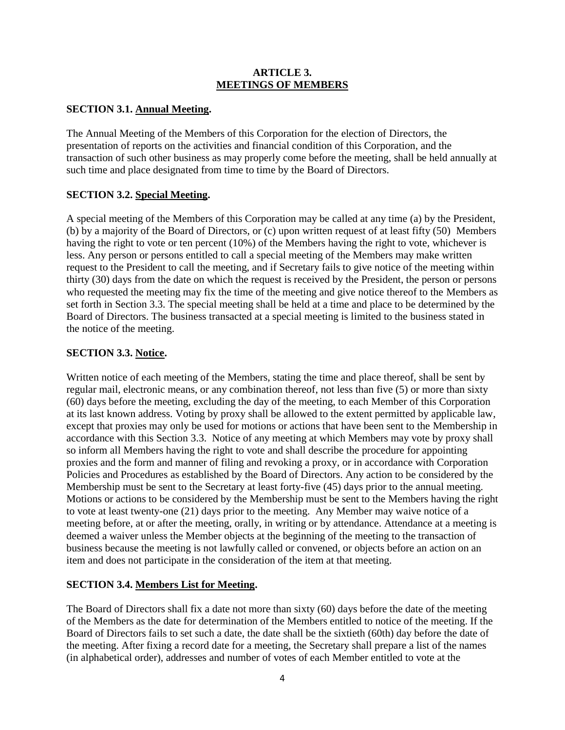#### **ARTICLE 3. MEETINGS OF MEMBERS**

## **SECTION 3.1. Annual Meeting.**

The Annual Meeting of the Members of this Corporation for the election of Directors, the presentation of reports on the activities and financial condition of this Corporation, and the transaction of such other business as may properly come before the meeting, shall be held annually at such time and place designated from time to time by the Board of Directors.

## **SECTION 3.2. Special Meeting.**

A special meeting of the Members of this Corporation may be called at any time (a) by the President, (b) by a majority of the Board of Directors, or (c) upon written request of at least fifty (50) Members having the right to vote or ten percent (10%) of the Members having the right to vote, whichever is less. Any person or persons entitled to call a special meeting of the Members may make written request to the President to call the meeting, and if Secretary fails to give notice of the meeting within thirty (30) days from the date on which the request is received by the President, the person or persons who requested the meeting may fix the time of the meeting and give notice thereof to the Members as set forth in Section 3.3. The special meeting shall be held at a time and place to be determined by the Board of Directors. The business transacted at a special meeting is limited to the business stated in the notice of the meeting.

## **SECTION 3.3. Notice.**

Written notice of each meeting of the Members, stating the time and place thereof, shall be sent by regular mail, electronic means, or any combination thereof, not less than five (5) or more than sixty (60) days before the meeting, excluding the day of the meeting, to each Member of this Corporation at its last known address. Voting by proxy shall be allowed to the extent permitted by applicable law, except that proxies may only be used for motions or actions that have been sent to the Membership in accordance with this Section 3.3. Notice of any meeting at which Members may vote by proxy shall so inform all Members having the right to vote and shall describe the procedure for appointing proxies and the form and manner of filing and revoking a proxy, or in accordance with Corporation Policies and Procedures as established by the Board of Directors. Any action to be considered by the Membership must be sent to the Secretary at least forty-five (45) days prior to the annual meeting. Motions or actions to be considered by the Membership must be sent to the Members having the right to vote at least twenty-one (21) days prior to the meeting. Any Member may waive notice of a meeting before, at or after the meeting, orally, in writing or by attendance. Attendance at a meeting is deemed a waiver unless the Member objects at the beginning of the meeting to the transaction of business because the meeting is not lawfully called or convened, or objects before an action on an item and does not participate in the consideration of the item at that meeting.

# **SECTION 3.4. Members List for Meeting.**

The Board of Directors shall fix a date not more than sixty (60) days before the date of the meeting of the Members as the date for determination of the Members entitled to notice of the meeting. If the Board of Directors fails to set such a date, the date shall be the sixtieth (60th) day before the date of the meeting. After fixing a record date for a meeting, the Secretary shall prepare a list of the names (in alphabetical order), addresses and number of votes of each Member entitled to vote at the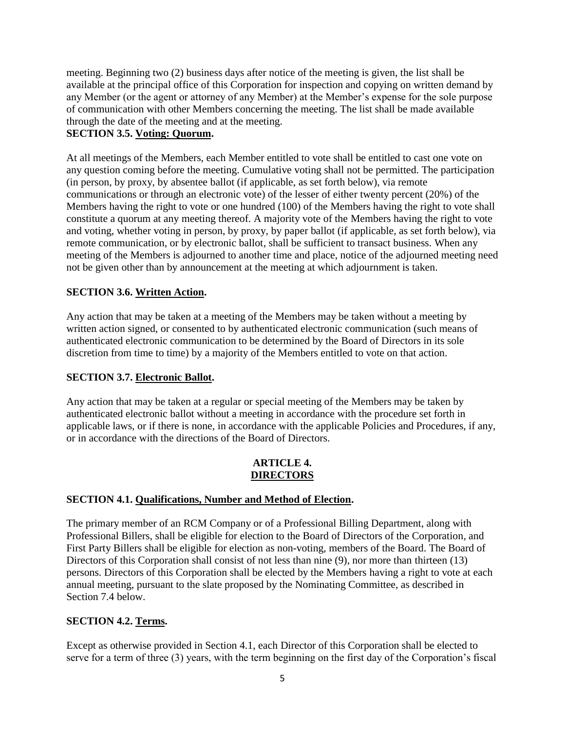meeting. Beginning two (2) business days after notice of the meeting is given, the list shall be available at the principal office of this Corporation for inspection and copying on written demand by any Member (or the agent or attorney of any Member) at the Member's expense for the sole purpose of communication with other Members concerning the meeting. The list shall be made available through the date of the meeting and at the meeting.

# **SECTION 3.5. Voting: Quorum.**

At all meetings of the Members, each Member entitled to vote shall be entitled to cast one vote on any question coming before the meeting. Cumulative voting shall not be permitted. The participation (in person, by proxy, by absentee ballot (if applicable, as set forth below), via remote communications or through an electronic vote) of the lesser of either twenty percent (20%) of the Members having the right to vote or one hundred (100) of the Members having the right to vote shall constitute a quorum at any meeting thereof. A majority vote of the Members having the right to vote and voting, whether voting in person, by proxy, by paper ballot (if applicable, as set forth below), via remote communication, or by electronic ballot, shall be sufficient to transact business. When any meeting of the Members is adjourned to another time and place, notice of the adjourned meeting need not be given other than by announcement at the meeting at which adjournment is taken.

# **SECTION 3.6. Written Action.**

Any action that may be taken at a meeting of the Members may be taken without a meeting by written action signed, or consented to by authenticated electronic communication (such means of authenticated electronic communication to be determined by the Board of Directors in its sole discretion from time to time) by a majority of the Members entitled to vote on that action.

# **SECTION 3.7. Electronic Ballot.**

Any action that may be taken at a regular or special meeting of the Members may be taken by authenticated electronic ballot without a meeting in accordance with the procedure set forth in applicable laws, or if there is none, in accordance with the applicable Policies and Procedures, if any, or in accordance with the directions of the Board of Directors.

## **ARTICLE 4. DIRECTORS**

### **SECTION 4.1. Qualifications, Number and Method of Election.**

The primary member of an RCM Company or of a Professional Billing Department, along with Professional Billers, shall be eligible for election to the Board of Directors of the Corporation, and First Party Billers shall be eligible for election as non-voting, members of the Board. The Board of Directors of this Corporation shall consist of not less than nine (9), nor more than thirteen (13) persons. Directors of this Corporation shall be elected by the Members having a right to vote at each annual meeting, pursuant to the slate proposed by the Nominating Committee, as described in Section 7.4 below.

### **SECTION 4.2. Terms.**

Except as otherwise provided in Section 4.1, each Director of this Corporation shall be elected to serve for a term of three (3) years, with the term beginning on the first day of the Corporation's fiscal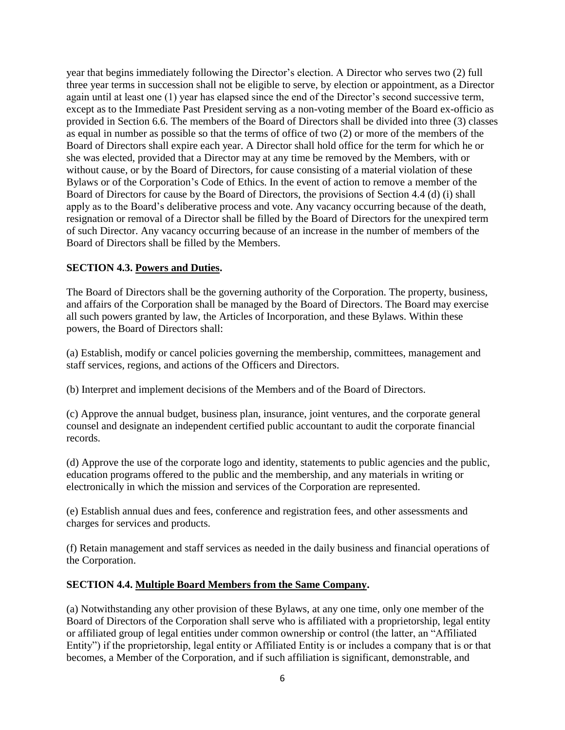year that begins immediately following the Director's election. A Director who serves two (2) full three year terms in succession shall not be eligible to serve, by election or appointment, as a Director again until at least one (1) year has elapsed since the end of the Director's second successive term, except as to the Immediate Past President serving as a non-voting member of the Board ex-officio as provided in Section 6.6. The members of the Board of Directors shall be divided into three (3) classes as equal in number as possible so that the terms of office of two (2) or more of the members of the Board of Directors shall expire each year. A Director shall hold office for the term for which he or she was elected, provided that a Director may at any time be removed by the Members, with or without cause, or by the Board of Directors, for cause consisting of a material violation of these Bylaws or of the Corporation's Code of Ethics. In the event of action to remove a member of the Board of Directors for cause by the Board of Directors, the provisions of Section 4.4 (d) (i) shall apply as to the Board's deliberative process and vote. Any vacancy occurring because of the death, resignation or removal of a Director shall be filled by the Board of Directors for the unexpired term of such Director. Any vacancy occurring because of an increase in the number of members of the Board of Directors shall be filled by the Members.

### **SECTION 4.3. Powers and Duties.**

The Board of Directors shall be the governing authority of the Corporation. The property, business, and affairs of the Corporation shall be managed by the Board of Directors. The Board may exercise all such powers granted by law, the Articles of Incorporation, and these Bylaws. Within these powers, the Board of Directors shall:

(a) Establish, modify or cancel policies governing the membership, committees, management and staff services, regions, and actions of the Officers and Directors.

(b) Interpret and implement decisions of the Members and of the Board of Directors.

(c) Approve the annual budget, business plan, insurance, joint ventures, and the corporate general counsel and designate an independent certified public accountant to audit the corporate financial records.

(d) Approve the use of the corporate logo and identity, statements to public agencies and the public, education programs offered to the public and the membership, and any materials in writing or electronically in which the mission and services of the Corporation are represented.

(e) Establish annual dues and fees, conference and registration fees, and other assessments and charges for services and products.

(f) Retain management and staff services as needed in the daily business and financial operations of the Corporation.

### **SECTION 4.4. Multiple Board Members from the Same Company.**

(a) Notwithstanding any other provision of these Bylaws, at any one time, only one member of the Board of Directors of the Corporation shall serve who is affiliated with a proprietorship, legal entity or affiliated group of legal entities under common ownership or control (the latter, an "Affiliated Entity") if the proprietorship, legal entity or Affiliated Entity is or includes a company that is or that becomes, a Member of the Corporation, and if such affiliation is significant, demonstrable, and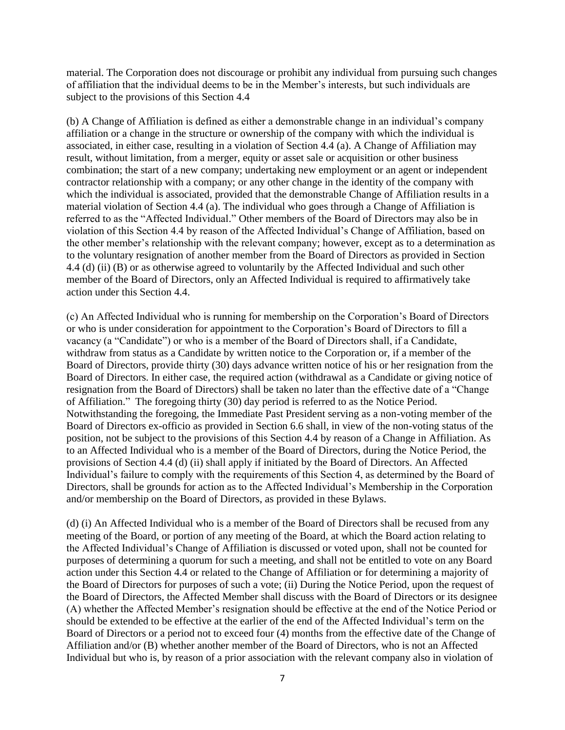material. The Corporation does not discourage or prohibit any individual from pursuing such changes of affiliation that the individual deems to be in the Member's interests, but such individuals are subject to the provisions of this Section 4.4

(b) A Change of Affiliation is defined as either a demonstrable change in an individual's company affiliation or a change in the structure or ownership of the company with which the individual is associated, in either case, resulting in a violation of Section 4.4 (a). A Change of Affiliation may result, without limitation, from a merger, equity or asset sale or acquisition or other business combination; the start of a new company; undertaking new employment or an agent or independent contractor relationship with a company; or any other change in the identity of the company with which the individual is associated, provided that the demonstrable Change of Affiliation results in a material violation of Section 4.4 (a). The individual who goes through a Change of Affiliation is referred to as the "Affected Individual." Other members of the Board of Directors may also be in violation of this Section 4.4 by reason of the Affected Individual's Change of Affiliation, based on the other member's relationship with the relevant company; however, except as to a determination as to the voluntary resignation of another member from the Board of Directors as provided in Section 4.4 (d) (ii) (B) or as otherwise agreed to voluntarily by the Affected Individual and such other member of the Board of Directors, only an Affected Individual is required to affirmatively take action under this Section 4.4.

(c) An Affected Individual who is running for membership on the Corporation's Board of Directors or who is under consideration for appointment to the Corporation's Board of Directors to fill a vacancy (a "Candidate") or who is a member of the Board of Directors shall, if a Candidate, withdraw from status as a Candidate by written notice to the Corporation or, if a member of the Board of Directors, provide thirty (30) days advance written notice of his or her resignation from the Board of Directors. In either case, the required action (withdrawal as a Candidate or giving notice of resignation from the Board of Directors) shall be taken no later than the effective date of a "Change of Affiliation." The foregoing thirty (30) day period is referred to as the Notice Period. Notwithstanding the foregoing, the Immediate Past President serving as a non-voting member of the Board of Directors ex-officio as provided in Section 6.6 shall, in view of the non-voting status of the position, not be subject to the provisions of this Section 4.4 by reason of a Change in Affiliation. As to an Affected Individual who is a member of the Board of Directors, during the Notice Period, the provisions of Section 4.4 (d) (ii) shall apply if initiated by the Board of Directors. An Affected Individual's failure to comply with the requirements of this Section 4, as determined by the Board of Directors, shall be grounds for action as to the Affected Individual's Membership in the Corporation and/or membership on the Board of Directors, as provided in these Bylaws.

(d) (i) An Affected Individual who is a member of the Board of Directors shall be recused from any meeting of the Board, or portion of any meeting of the Board, at which the Board action relating to the Affected Individual's Change of Affiliation is discussed or voted upon, shall not be counted for purposes of determining a quorum for such a meeting, and shall not be entitled to vote on any Board action under this Section 4.4 or related to the Change of Affiliation or for determining a majority of the Board of Directors for purposes of such a vote; (ii) During the Notice Period, upon the request of the Board of Directors, the Affected Member shall discuss with the Board of Directors or its designee (A) whether the Affected Member's resignation should be effective at the end of the Notice Period or should be extended to be effective at the earlier of the end of the Affected Individual's term on the Board of Directors or a period not to exceed four (4) months from the effective date of the Change of Affiliation and/or (B) whether another member of the Board of Directors, who is not an Affected Individual but who is, by reason of a prior association with the relevant company also in violation of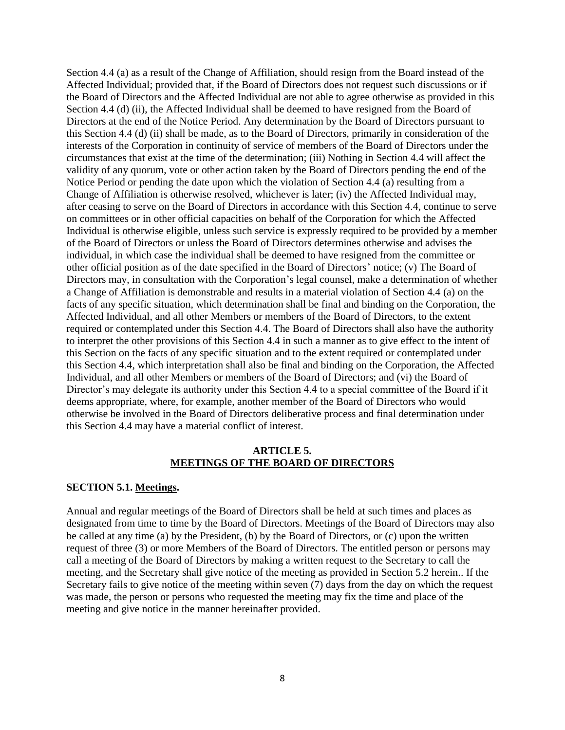Section 4.4 (a) as a result of the Change of Affiliation, should resign from the Board instead of the Affected Individual; provided that, if the Board of Directors does not request such discussions or if the Board of Directors and the Affected Individual are not able to agree otherwise as provided in this Section 4.4 (d) (ii), the Affected Individual shall be deemed to have resigned from the Board of Directors at the end of the Notice Period. Any determination by the Board of Directors pursuant to this Section 4.4 (d) (ii) shall be made, as to the Board of Directors, primarily in consideration of the interests of the Corporation in continuity of service of members of the Board of Directors under the circumstances that exist at the time of the determination; (iii) Nothing in Section 4.4 will affect the validity of any quorum, vote or other action taken by the Board of Directors pending the end of the Notice Period or pending the date upon which the violation of Section 4.4 (a) resulting from a Change of Affiliation is otherwise resolved, whichever is later; (iv) the Affected Individual may, after ceasing to serve on the Board of Directors in accordance with this Section 4.4, continue to serve on committees or in other official capacities on behalf of the Corporation for which the Affected Individual is otherwise eligible, unless such service is expressly required to be provided by a member of the Board of Directors or unless the Board of Directors determines otherwise and advises the individual, in which case the individual shall be deemed to have resigned from the committee or other official position as of the date specified in the Board of Directors' notice; (v) The Board of Directors may, in consultation with the Corporation's legal counsel, make a determination of whether a Change of Affiliation is demonstrable and results in a material violation of Section 4.4 (a) on the facts of any specific situation, which determination shall be final and binding on the Corporation, the Affected Individual, and all other Members or members of the Board of Directors, to the extent required or contemplated under this Section 4.4. The Board of Directors shall also have the authority to interpret the other provisions of this Section 4.4 in such a manner as to give effect to the intent of this Section on the facts of any specific situation and to the extent required or contemplated under this Section 4.4, which interpretation shall also be final and binding on the Corporation, the Affected Individual, and all other Members or members of the Board of Directors; and (vi) the Board of Director's may delegate its authority under this Section 4.4 to a special committee of the Board if it deems appropriate, where, for example, another member of the Board of Directors who would otherwise be involved in the Board of Directors deliberative process and final determination under this Section 4.4 may have a material conflict of interest.

#### **ARTICLE 5. MEETINGS OF THE BOARD OF DIRECTORS**

#### **SECTION 5.1. Meetings.**

Annual and regular meetings of the Board of Directors shall be held at such times and places as designated from time to time by the Board of Directors. Meetings of the Board of Directors may also be called at any time (a) by the President, (b) by the Board of Directors, or (c) upon the written request of three (3) or more Members of the Board of Directors. The entitled person or persons may call a meeting of the Board of Directors by making a written request to the Secretary to call the meeting, and the Secretary shall give notice of the meeting as provided in Section 5.2 herein.. If the Secretary fails to give notice of the meeting within seven (7) days from the day on which the request was made, the person or persons who requested the meeting may fix the time and place of the meeting and give notice in the manner hereinafter provided.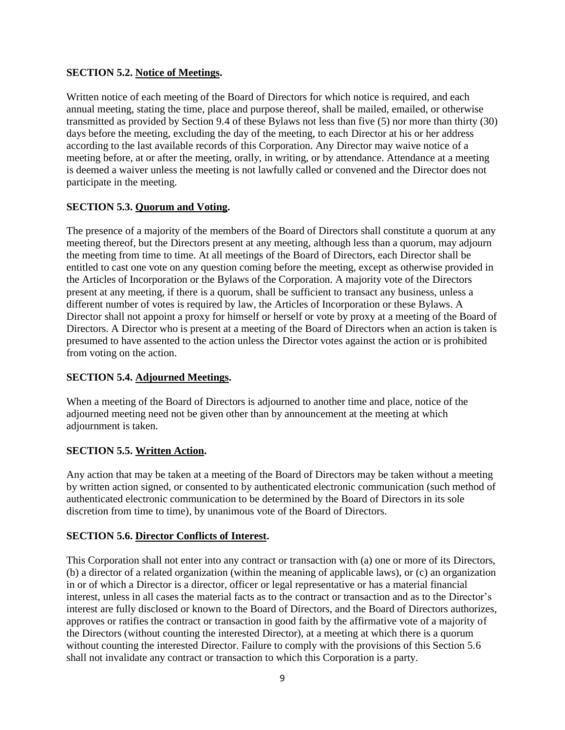## **SECTION 5.2. Notice of Meetings.**

Written notice of each meeting of the Board of Directors for which notice is required, and each annual meeting, stating the time, place and purpose thereof, shall be mailed, emailed, or otherwise transmitted as provided by Section 9.4 of these Bylaws not less than five (5) nor more than thirty (30) days before the meeting, excluding the day of the meeting, to each Director at his or her address according to the last available records of this Corporation. Any Director may waive notice of a meeting before, at or after the meeting, orally, in writing, or by attendance. Attendance at a meeting is deemed a waiver unless the meeting is not lawfully called or convened and the Director does not participate in the meeting.

# **SECTION 5.3. Quorum and Voting.**

The presence of a majority of the members of the Board of Directors shall constitute a quorum at any meeting thereof, but the Directors present at any meeting, although less than a quorum, may adjourn the meeting from time to time. At all meetings of the Board of Directors, each Director shall be entitled to cast one vote on any question coming before the meeting, except as otherwise provided in the Articles of Incorporation or the Bylaws of the Corporation. A majority vote of the Directors present at any meeting, if there is a quorum, shall be sufficient to transact any business, unless a different number of votes is required by law, the Articles of Incorporation or these Bylaws. A Director shall not appoint a proxy for himself or herself or vote by proxy at a meeting of the Board of Directors. A Director who is present at a meeting of the Board of Directors when an action is taken is presumed to have assented to the action unless the Director votes against the action or is prohibited from voting on the action.

### **SECTION 5.4. Adjourned Meetings.**

When a meeting of the Board of Directors is adjourned to another time and place, notice of the adjourned meeting need not be given other than by announcement at the meeting at which adjournment is taken.

# **SECTION 5.5. Written Action.**

Any action that may be taken at a meeting of the Board of Directors may be taken without a meeting by written action signed, or consented to by authenticated electronic communication (such method of authenticated electronic communication to be determined by the Board of Directors in its sole discretion from time to time), by unanimous vote of the Board of Directors.

### **SECTION 5.6. Director Conflicts of Interest.**

This Corporation shall not enter into any contract or transaction with (a) one or more of its Directors, (b) a director of a related organization (within the meaning of applicable laws), or (c) an organization in or of which a Director is a director, officer or legal representative or has a material financial interest, unless in all cases the material facts as to the contract or transaction and as to the Director's interest are fully disclosed or known to the Board of Directors, and the Board of Directors authorizes, approves or ratifies the contract or transaction in good faith by the affirmative vote of a majority of the Directors (without counting the interested Director), at a meeting at which there is a quorum without counting the interested Director. Failure to comply with the provisions of this Section 5.6 shall not invalidate any contract or transaction to which this Corporation is a party.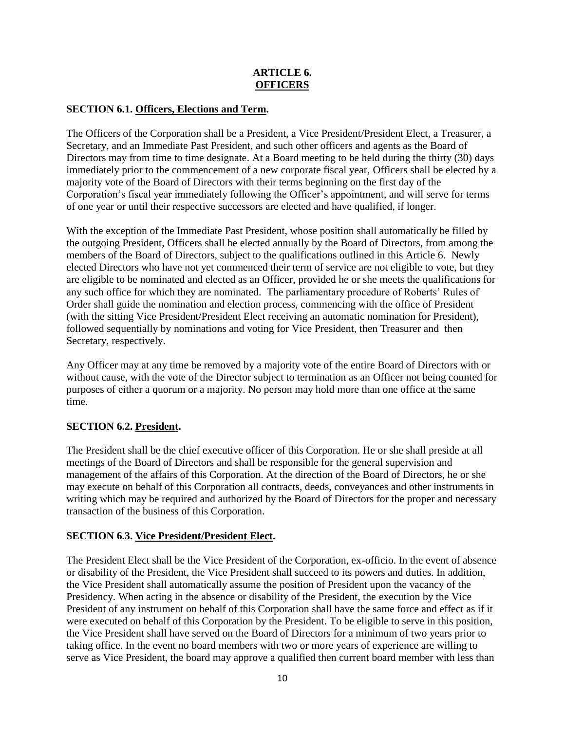# **ARTICLE 6. OFFICERS**

# **SECTION 6.1. Officers, Elections and Term.**

The Officers of the Corporation shall be a President, a Vice President/President Elect, a Treasurer, a Secretary, and an Immediate Past President, and such other officers and agents as the Board of Directors may from time to time designate. At a Board meeting to be held during the thirty (30) days immediately prior to the commencement of a new corporate fiscal year, Officers shall be elected by a majority vote of the Board of Directors with their terms beginning on the first day of the Corporation's fiscal year immediately following the Officer's appointment, and will serve for terms of one year or until their respective successors are elected and have qualified, if longer.

With the exception of the Immediate Past President, whose position shall automatically be filled by the outgoing President, Officers shall be elected annually by the Board of Directors, from among the members of the Board of Directors, subject to the qualifications outlined in this Article 6. Newly elected Directors who have not yet commenced their term of service are not eligible to vote, but they are eligible to be nominated and elected as an Officer, provided he or she meets the qualifications for any such office for which they are nominated. The parliamentary procedure of Roberts' Rules of Order shall guide the nomination and election process, commencing with the office of President (with the sitting Vice President/President Elect receiving an automatic nomination for President), followed sequentially by nominations and voting for Vice President, then Treasurer and then Secretary, respectively.

Any Officer may at any time be removed by a majority vote of the entire Board of Directors with or without cause, with the vote of the Director subject to termination as an Officer not being counted for purposes of either a quorum or a majority. No person may hold more than one office at the same time.

# **SECTION 6.2. President.**

The President shall be the chief executive officer of this Corporation. He or she shall preside at all meetings of the Board of Directors and shall be responsible for the general supervision and management of the affairs of this Corporation. At the direction of the Board of Directors, he or she may execute on behalf of this Corporation all contracts, deeds, conveyances and other instruments in writing which may be required and authorized by the Board of Directors for the proper and necessary transaction of the business of this Corporation.

# **SECTION 6.3. Vice President/President Elect.**

The President Elect shall be the Vice President of the Corporation, ex-officio. In the event of absence or disability of the President, the Vice President shall succeed to its powers and duties. In addition, the Vice President shall automatically assume the position of President upon the vacancy of the Presidency. When acting in the absence or disability of the President, the execution by the Vice President of any instrument on behalf of this Corporation shall have the same force and effect as if it were executed on behalf of this Corporation by the President. To be eligible to serve in this position, the Vice President shall have served on the Board of Directors for a minimum of two years prior to taking office. In the event no board members with two or more years of experience are willing to serve as Vice President, the board may approve a qualified then current board member with less than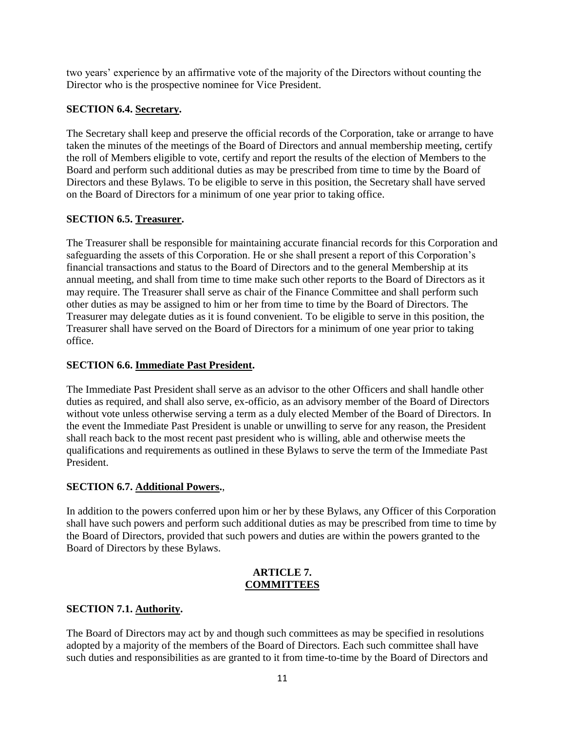two years' experience by an affirmative vote of the majority of the Directors without counting the Director who is the prospective nominee for Vice President.

## **SECTION 6.4. Secretary.**

The Secretary shall keep and preserve the official records of the Corporation, take or arrange to have taken the minutes of the meetings of the Board of Directors and annual membership meeting, certify the roll of Members eligible to vote, certify and report the results of the election of Members to the Board and perform such additional duties as may be prescribed from time to time by the Board of Directors and these Bylaws. To be eligible to serve in this position, the Secretary shall have served on the Board of Directors for a minimum of one year prior to taking office.

## **SECTION 6.5. Treasurer.**

The Treasurer shall be responsible for maintaining accurate financial records for this Corporation and safeguarding the assets of this Corporation. He or she shall present a report of this Corporation's financial transactions and status to the Board of Directors and to the general Membership at its annual meeting, and shall from time to time make such other reports to the Board of Directors as it may require. The Treasurer shall serve as chair of the Finance Committee and shall perform such other duties as may be assigned to him or her from time to time by the Board of Directors. The Treasurer may delegate duties as it is found convenient. To be eligible to serve in this position, the Treasurer shall have served on the Board of Directors for a minimum of one year prior to taking office.

### **SECTION 6.6. Immediate Past President.**

The Immediate Past President shall serve as an advisor to the other Officers and shall handle other duties as required, and shall also serve, ex-officio, as an advisory member of the Board of Directors without vote unless otherwise serving a term as a duly elected Member of the Board of Directors. In the event the Immediate Past President is unable or unwilling to serve for any reason, the President shall reach back to the most recent past president who is willing, able and otherwise meets the qualifications and requirements as outlined in these Bylaws to serve the term of the Immediate Past President.

### **SECTION 6.7. Additional Powers.**,

In addition to the powers conferred upon him or her by these Bylaws, any Officer of this Corporation shall have such powers and perform such additional duties as may be prescribed from time to time by the Board of Directors, provided that such powers and duties are within the powers granted to the Board of Directors by these Bylaws.

### **ARTICLE 7. COMMITTEES**

### **SECTION 7.1. Authority.**

The Board of Directors may act by and though such committees as may be specified in resolutions adopted by a majority of the members of the Board of Directors. Each such committee shall have such duties and responsibilities as are granted to it from time-to-time by the Board of Directors and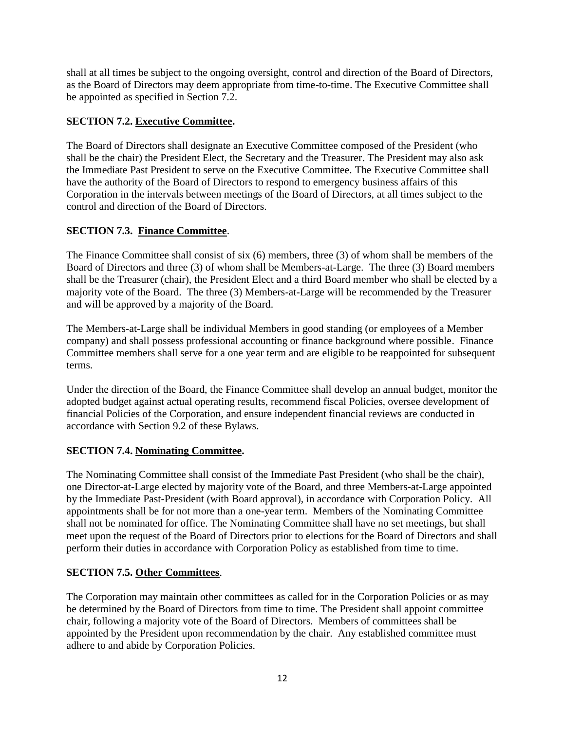shall at all times be subject to the ongoing oversight, control and direction of the Board of Directors, as the Board of Directors may deem appropriate from time-to-time. The Executive Committee shall be appointed as specified in Section 7.2.

# **SECTION 7.2. Executive Committee.**

The Board of Directors shall designate an Executive Committee composed of the President (who shall be the chair) the President Elect, the Secretary and the Treasurer. The President may also ask the Immediate Past President to serve on the Executive Committee. The Executive Committee shall have the authority of the Board of Directors to respond to emergency business affairs of this Corporation in the intervals between meetings of the Board of Directors, at all times subject to the control and direction of the Board of Directors.

## **SECTION 7.3. Finance Committee**.

The Finance Committee shall consist of six (6) members, three (3) of whom shall be members of the Board of Directors and three (3) of whom shall be Members-at-Large. The three (3) Board members shall be the Treasurer (chair), the President Elect and a third Board member who shall be elected by a majority vote of the Board. The three (3) Members-at-Large will be recommended by the Treasurer and will be approved by a majority of the Board.

The Members-at-Large shall be individual Members in good standing (or employees of a Member company) and shall possess professional accounting or finance background where possible. Finance Committee members shall serve for a one year term and are eligible to be reappointed for subsequent terms.

Under the direction of the Board, the Finance Committee shall develop an annual budget, monitor the adopted budget against actual operating results, recommend fiscal Policies, oversee development of financial Policies of the Corporation, and ensure independent financial reviews are conducted in accordance with Section 9.2 of these Bylaws.

### **SECTION 7.4. Nominating Committee.**

The Nominating Committee shall consist of the Immediate Past President (who shall be the chair), one Director-at-Large elected by majority vote of the Board, and three Members-at-Large appointed by the Immediate Past-President (with Board approval), in accordance with Corporation Policy. All appointments shall be for not more than a one-year term. Members of the Nominating Committee shall not be nominated for office. The Nominating Committee shall have no set meetings, but shall meet upon the request of the Board of Directors prior to elections for the Board of Directors and shall perform their duties in accordance with Corporation Policy as established from time to time.

### **SECTION 7.5. Other Committees**.

The Corporation may maintain other committees as called for in the Corporation Policies or as may be determined by the Board of Directors from time to time. The President shall appoint committee chair, following a majority vote of the Board of Directors. Members of committees shall be appointed by the President upon recommendation by the chair. Any established committee must adhere to and abide by Corporation Policies.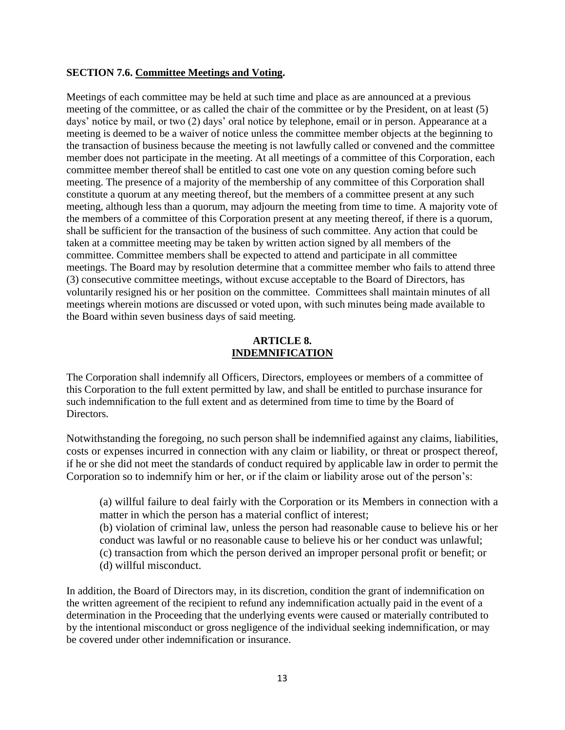#### **SECTION 7.6. Committee Meetings and Voting.**

Meetings of each committee may be held at such time and place as are announced at a previous meeting of the committee, or as called the chair of the committee or by the President, on at least (5) days' notice by mail, or two (2) days' oral notice by telephone, email or in person. Appearance at a meeting is deemed to be a waiver of notice unless the committee member objects at the beginning to the transaction of business because the meeting is not lawfully called or convened and the committee member does not participate in the meeting. At all meetings of a committee of this Corporation, each committee member thereof shall be entitled to cast one vote on any question coming before such meeting. The presence of a majority of the membership of any committee of this Corporation shall constitute a quorum at any meeting thereof, but the members of a committee present at any such meeting, although less than a quorum, may adjourn the meeting from time to time. A majority vote of the members of a committee of this Corporation present at any meeting thereof, if there is a quorum, shall be sufficient for the transaction of the business of such committee. Any action that could be taken at a committee meeting may be taken by written action signed by all members of the committee. Committee members shall be expected to attend and participate in all committee meetings. The Board may by resolution determine that a committee member who fails to attend three (3) consecutive committee meetings, without excuse acceptable to the Board of Directors, has voluntarily resigned his or her position on the committee. Committees shall maintain minutes of all meetings wherein motions are discussed or voted upon, with such minutes being made available to the Board within seven business days of said meeting.

#### **ARTICLE 8. INDEMNIFICATION**

The Corporation shall indemnify all Officers, Directors, employees or members of a committee of this Corporation to the full extent permitted by law, and shall be entitled to purchase insurance for such indemnification to the full extent and as determined from time to time by the Board of Directors.

Notwithstanding the foregoing, no such person shall be indemnified against any claims, liabilities, costs or expenses incurred in connection with any claim or liability, or threat or prospect thereof, if he or she did not meet the standards of conduct required by applicable law in order to permit the Corporation so to indemnify him or her, or if the claim or liability arose out of the person's:

(a) willful failure to deal fairly with the Corporation or its Members in connection with a matter in which the person has a material conflict of interest;

(b) violation of criminal law, unless the person had reasonable cause to believe his or her conduct was lawful or no reasonable cause to believe his or her conduct was unlawful;

- (c) transaction from which the person derived an improper personal profit or benefit; or
- (d) willful misconduct.

In addition, the Board of Directors may, in its discretion, condition the grant of indemnification on the written agreement of the recipient to refund any indemnification actually paid in the event of a determination in the Proceeding that the underlying events were caused or materially contributed to by the intentional misconduct or gross negligence of the individual seeking indemnification, or may be covered under other indemnification or insurance.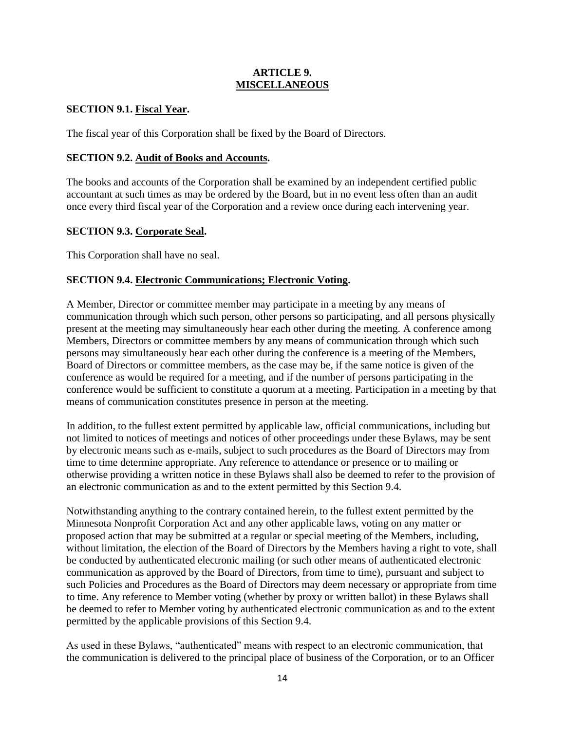### **ARTICLE 9. MISCELLANEOUS**

## **SECTION 9.1. Fiscal Year.**

The fiscal year of this Corporation shall be fixed by the Board of Directors.

### **SECTION 9.2. Audit of Books and Accounts.**

The books and accounts of the Corporation shall be examined by an independent certified public accountant at such times as may be ordered by the Board, but in no event less often than an audit once every third fiscal year of the Corporation and a review once during each intervening year.

## **SECTION 9.3. Corporate Seal.**

This Corporation shall have no seal.

## **SECTION 9.4. Electronic Communications; Electronic Voting.**

A Member, Director or committee member may participate in a meeting by any means of communication through which such person, other persons so participating, and all persons physically present at the meeting may simultaneously hear each other during the meeting. A conference among Members, Directors or committee members by any means of communication through which such persons may simultaneously hear each other during the conference is a meeting of the Members, Board of Directors or committee members, as the case may be, if the same notice is given of the conference as would be required for a meeting, and if the number of persons participating in the conference would be sufficient to constitute a quorum at a meeting. Participation in a meeting by that means of communication constitutes presence in person at the meeting.

In addition, to the fullest extent permitted by applicable law, official communications, including but not limited to notices of meetings and notices of other proceedings under these Bylaws, may be sent by electronic means such as e-mails, subject to such procedures as the Board of Directors may from time to time determine appropriate. Any reference to attendance or presence or to mailing or otherwise providing a written notice in these Bylaws shall also be deemed to refer to the provision of an electronic communication as and to the extent permitted by this Section 9.4.

Notwithstanding anything to the contrary contained herein, to the fullest extent permitted by the Minnesota Nonprofit Corporation Act and any other applicable laws, voting on any matter or proposed action that may be submitted at a regular or special meeting of the Members, including, without limitation, the election of the Board of Directors by the Members having a right to vote, shall be conducted by authenticated electronic mailing (or such other means of authenticated electronic communication as approved by the Board of Directors, from time to time), pursuant and subject to such Policies and Procedures as the Board of Directors may deem necessary or appropriate from time to time. Any reference to Member voting (whether by proxy or written ballot) in these Bylaws shall be deemed to refer to Member voting by authenticated electronic communication as and to the extent permitted by the applicable provisions of this Section 9.4.

As used in these Bylaws, "authenticated" means with respect to an electronic communication, that the communication is delivered to the principal place of business of the Corporation, or to an Officer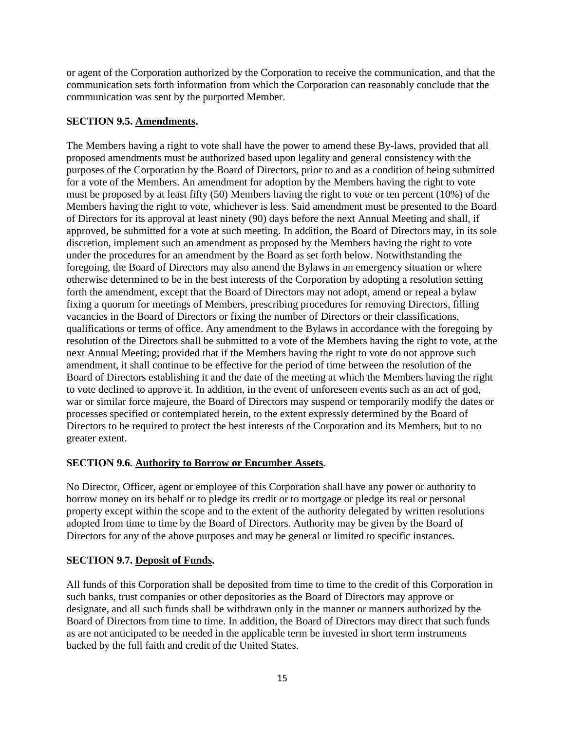or agent of the Corporation authorized by the Corporation to receive the communication, and that the communication sets forth information from which the Corporation can reasonably conclude that the communication was sent by the purported Member.

### **SECTION 9.5. Amendments.**

The Members having a right to vote shall have the power to amend these By-laws, provided that all proposed amendments must be authorized based upon legality and general consistency with the purposes of the Corporation by the Board of Directors, prior to and as a condition of being submitted for a vote of the Members. An amendment for adoption by the Members having the right to vote must be proposed by at least fifty (50) Members having the right to vote or ten percent (10%) of the Members having the right to vote, whichever is less. Said amendment must be presented to the Board of Directors for its approval at least ninety (90) days before the next Annual Meeting and shall, if approved, be submitted for a vote at such meeting. In addition, the Board of Directors may, in its sole discretion, implement such an amendment as proposed by the Members having the right to vote under the procedures for an amendment by the Board as set forth below. Notwithstanding the foregoing, the Board of Directors may also amend the Bylaws in an emergency situation or where otherwise determined to be in the best interests of the Corporation by adopting a resolution setting forth the amendment, except that the Board of Directors may not adopt, amend or repeal a bylaw fixing a quorum for meetings of Members, prescribing procedures for removing Directors, filling vacancies in the Board of Directors or fixing the number of Directors or their classifications, qualifications or terms of office. Any amendment to the Bylaws in accordance with the foregoing by resolution of the Directors shall be submitted to a vote of the Members having the right to vote, at the next Annual Meeting; provided that if the Members having the right to vote do not approve such amendment, it shall continue to be effective for the period of time between the resolution of the Board of Directors establishing it and the date of the meeting at which the Members having the right to vote declined to approve it. In addition, in the event of unforeseen events such as an act of god, war or similar force majeure, the Board of Directors may suspend or temporarily modify the dates or processes specified or contemplated herein, to the extent expressly determined by the Board of Directors to be required to protect the best interests of the Corporation and its Members, but to no greater extent.

### **SECTION 9.6. Authority to Borrow or Encumber Assets.**

No Director, Officer, agent or employee of this Corporation shall have any power or authority to borrow money on its behalf or to pledge its credit or to mortgage or pledge its real or personal property except within the scope and to the extent of the authority delegated by written resolutions adopted from time to time by the Board of Directors. Authority may be given by the Board of Directors for any of the above purposes and may be general or limited to specific instances.

# **SECTION 9.7. Deposit of Funds.**

All funds of this Corporation shall be deposited from time to time to the credit of this Corporation in such banks, trust companies or other depositories as the Board of Directors may approve or designate, and all such funds shall be withdrawn only in the manner or manners authorized by the Board of Directors from time to time. In addition, the Board of Directors may direct that such funds as are not anticipated to be needed in the applicable term be invested in short term instruments backed by the full faith and credit of the United States.